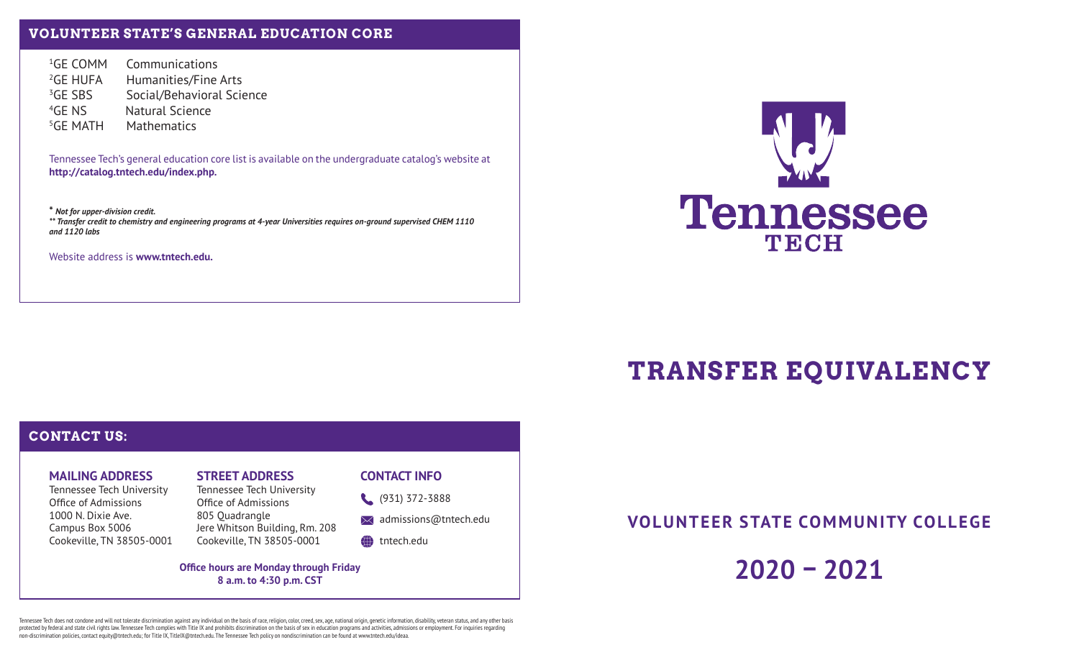## **VOLUNTEER STATE'S GENERAL EDUCATION CORE**

<sup>1</sup>GE COMM Communications <sup>2</sup>GE HUFA Humanities/Fine Arts <sup>3</sup>GE SBS Social/Behavioral Science 4GE NS Natural Science 5GE MATH Mathematics

Tennessee Tech's general education core list is available on the undergraduate catalog's website at **http://catalog.tntech.edu/index.php.**

**\*** *Not for upper-division credit. \*\* Transfer credit to chemistry and engineering programs at 4-year Universities requires on-ground supervised CHEM 1110 and 1120 labs*

Website address is **www.tntech.edu.**



# **TRANSFER EQUIVALENCY**

## **CONTACT US:**

## **MAILING ADDRESS**

Tennessee Tech University Office of Admissions 1000 N. Dixie Ave.Campus Box 5006 Cookeville, TN 38505-0001

# **STREET ADDRESS**

Tennessee Tech University Office of Admissions 805 Quadrangle Jere Whitson Building, Rm. 208 Cookeville, TN 38505-0001

#### **CONTACT INFO**

(931) 372-3888

 $\bowtie$  admissions@tntech.edu

#### tntech.edu

**Office hours are Monday through Friday 8 a.m. to 4:30 p.m. CST**

**VOLUNTEER STATE COMMUNITY COLLEGE**

**2020 – 2021**

Tennessee Tech does not condone and will not tolerate discrimination against any individual on the basis of race, religion, color, creed, sex, age, national origin, genetic information, disability, veteran status, and any protected by federal and state civil rights law. Tennessee Tech complies with Title IX and prohibits discrimination on the basis of sex in education programs and activities, admissions or employment. For inquiries regarding non-discrimination policies, contact equity@tntech.edu; for Title IX, TitleIX@tntech.edu. The Tennessee Tech policy on nondiscrimination can be found at www.tntech.edu/ideaa.